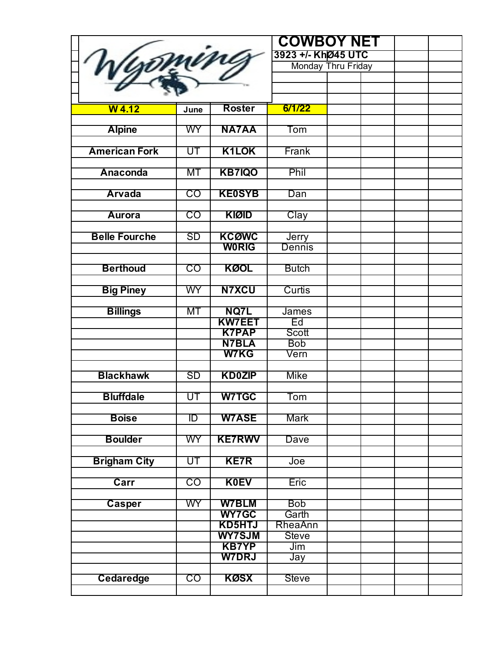| Wyoming              |                        |                                | <b>COWBOY NET</b>         |                    |  |
|----------------------|------------------------|--------------------------------|---------------------------|--------------------|--|
|                      |                        |                                | 3923 +/- KhØ45 UTC        |                    |  |
|                      |                        |                                |                           | Monday Thru Friday |  |
|                      |                        |                                |                           |                    |  |
|                      |                        |                                |                           |                    |  |
|                      |                        |                                |                           |                    |  |
| $W$ 4.12             | June                   | <b>Roster</b>                  | 6/1/22                    |                    |  |
|                      |                        |                                |                           |                    |  |
| <b>Alpine</b>        | WY                     | <b>NA7AA</b>                   | $\overline{\textsf{Tom}}$ |                    |  |
|                      |                        |                                |                           |                    |  |
| <b>American Fork</b> | UT                     | <b>K1LOK</b>                   | Frank                     |                    |  |
| <b>Anaconda</b>      | МT                     |                                | Phil                      |                    |  |
|                      |                        | <b>KB7IQO</b>                  |                           |                    |  |
| <b>Arvada</b>        | CO                     | <b>KE0SYB</b>                  | Dan                       |                    |  |
|                      |                        |                                |                           |                    |  |
| <b>Aurora</b>        | CO                     | <b>KIØID</b>                   | Clay                      |                    |  |
|                      |                        |                                |                           |                    |  |
| <b>Belle Fourche</b> | SD                     | <b>KCQWC</b>                   | Jerry                     |                    |  |
|                      |                        | <b>WORIG</b>                   | Dennis                    |                    |  |
|                      |                        |                                |                           |                    |  |
| <b>Berthoud</b>      | $\overline{\text{CO}}$ | <b>KØOL</b>                    | <b>Butch</b>              |                    |  |
|                      |                        |                                |                           |                    |  |
| <b>Big Piney</b>     | <b>WY</b>              | <b>N7XCU</b>                   | Curtis                    |                    |  |
|                      |                        |                                |                           |                    |  |
| <b>Billings</b>      | МT                     | <b>NQ7L</b>                    | James                     |                    |  |
|                      |                        | <b>KW7EET</b>                  | Ed                        |                    |  |
|                      |                        | <b>K7PAP</b>                   | Scott                     |                    |  |
|                      |                        | <b>N7BLA</b>                   | <b>Bob</b>                |                    |  |
|                      |                        | <b>W7KG</b>                    | Vern                      |                    |  |
| <b>Blackhawk</b>     | SD                     | <b>KD0ZIP</b>                  | <b>Mike</b>               |                    |  |
|                      |                        |                                |                           |                    |  |
| <b>Bluffdale</b>     | UT                     | <b>W7TGC</b>                   | Tom                       |                    |  |
|                      |                        |                                |                           |                    |  |
| <b>Boise</b>         | ID                     | <b>W7ASE</b>                   | Mark                      |                    |  |
|                      |                        |                                |                           |                    |  |
| <b>Boulder</b>       | <b>WY</b>              | <b>KE7RWV</b>                  | Dave                      |                    |  |
|                      |                        |                                |                           |                    |  |
| <b>Brigham City</b>  | UT                     | <b>KE7R</b>                    | Joe                       |                    |  |
|                      |                        |                                |                           |                    |  |
| Carr                 | CO                     | <b>K0EV</b>                    | Eric                      |                    |  |
|                      |                        |                                |                           |                    |  |
| Casper               | WY                     | <b>W7BLM</b>                   | <b>Bob</b>                |                    |  |
|                      |                        | <b>WY7GC</b>                   | Garth                     |                    |  |
|                      |                        | <b>KD5HTJ</b><br><b>WY7SJM</b> | RheaAnn                   |                    |  |
|                      |                        | <b>KB7YP</b>                   | <b>Steve</b><br>Jim       |                    |  |
|                      |                        | <b>W7DRJ</b>                   |                           |                    |  |
|                      |                        |                                | Jay                       |                    |  |
| Cedaredge            | CO                     | <b>KØSX</b>                    | <b>Steve</b>              |                    |  |
|                      |                        |                                |                           |                    |  |
|                      |                        |                                |                           |                    |  |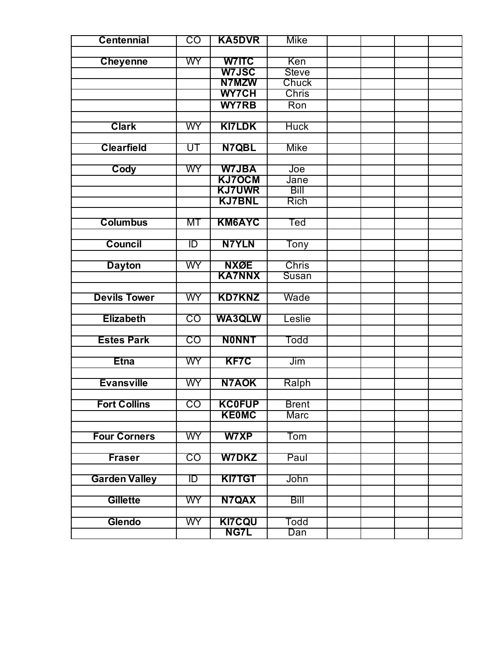| <b>Centennial</b>    | CO        | <b>KA5DVR</b> | Mike             |  |  |
|----------------------|-----------|---------------|------------------|--|--|
|                      |           |               |                  |  |  |
| <b>Cheyenne</b>      | <b>WY</b> | <b>W7ITC</b>  | Ken              |  |  |
|                      |           | <b>W7JSC</b>  | <b>Steve</b>     |  |  |
|                      |           | N7MZW         | Chuck            |  |  |
|                      |           | <b>WY7CH</b>  | <b>Chris</b>     |  |  |
|                      |           | <b>WY7RB</b>  | Ron              |  |  |
|                      |           |               |                  |  |  |
| <b>Clark</b>         | <b>WY</b> | <b>KI7LDK</b> | <b>Huck</b>      |  |  |
|                      |           |               |                  |  |  |
| <b>Clearfield</b>    | UT        | N7QBL         | Mike             |  |  |
|                      |           |               |                  |  |  |
| Cody                 | WY        | <b>W7JBA</b>  | Joe              |  |  |
|                      |           | <b>KJ7OCM</b> | Jane             |  |  |
|                      |           | <b>KJ7UWR</b> | Bill             |  |  |
|                      |           | <b>KJ7BNL</b> | <b>Rich</b>      |  |  |
|                      |           |               |                  |  |  |
| <b>Columbus</b>      | МT        | <b>KM6AYC</b> | Ted              |  |  |
|                      |           |               |                  |  |  |
| <b>Council</b>       | ID        | <b>N7YLN</b>  | Tony             |  |  |
|                      |           |               |                  |  |  |
| <b>Dayton</b>        | WY        | <b>NXØE</b>   | <b>Chris</b>     |  |  |
|                      |           | <b>KA7NNX</b> | Susan            |  |  |
|                      |           |               |                  |  |  |
| <b>Devils Tower</b>  | WY        | <b>KD7KNZ</b> | Wade             |  |  |
|                      | CO        |               |                  |  |  |
| <b>Elizabeth</b>     |           | <b>WA3QLW</b> | Leslie           |  |  |
| <b>Estes Park</b>    | CO        | <b>NONNT</b>  | Todd             |  |  |
|                      |           |               |                  |  |  |
| <b>Etna</b>          | <b>WY</b> | <b>KF7C</b>   | Jim              |  |  |
|                      |           |               |                  |  |  |
| <b>Evansville</b>    | <b>WY</b> | <b>N7AOK</b>  | Ralph            |  |  |
|                      |           |               |                  |  |  |
| <b>Fort Collins</b>  | CO        | <b>KC0FUP</b> | <b>Brent</b>     |  |  |
|                      |           | <b>KE0MC</b>  | <b>Marc</b>      |  |  |
|                      |           |               |                  |  |  |
| <b>Four Corners</b>  | WY.       | <b>W7XP</b>   | Tom              |  |  |
|                      |           |               |                  |  |  |
| <b>Fraser</b>        | CO        | <b>W7DKZ</b>  | Paul             |  |  |
|                      |           |               |                  |  |  |
| <b>Garden Valley</b> | ID        | <b>KI7TGT</b> | John             |  |  |
|                      |           |               |                  |  |  |
| <b>Gillette</b>      | WY.       | <b>N7QAX</b>  | Bill             |  |  |
|                      |           |               |                  |  |  |
| Glendo               | <b>WY</b> | <b>KI7CQU</b> | Todd             |  |  |
|                      |           | <b>NG7L</b>   | $\overline{Dan}$ |  |  |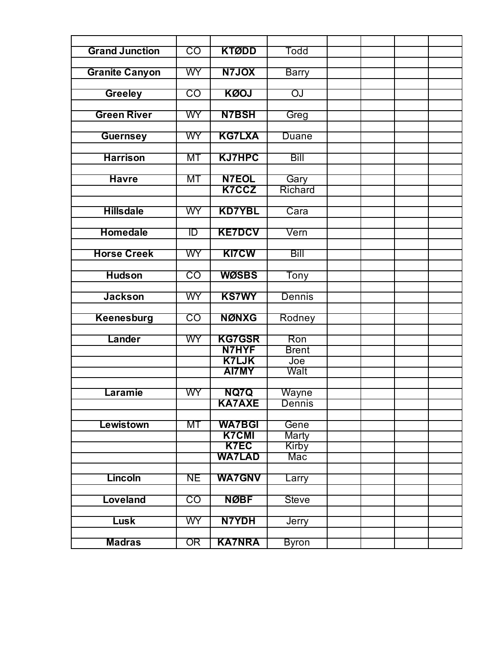| <b>Grand Junction</b> | $\overline{\text{CO}}$ | <b>KTØDD</b>          | Todd         |  |
|-----------------------|------------------------|-----------------------|--------------|--|
|                       |                        |                       |              |  |
| <b>Granite Canyon</b> | <b>WY</b>              | <b>N7JOX</b>          | <b>Barry</b> |  |
| <b>Greeley</b>        | CO                     | <b>KØOJ</b>           | OJ           |  |
|                       |                        |                       |              |  |
| <b>Green River</b>    | WY                     | <b>N7BSH</b>          | Greg         |  |
| <b>Guernsey</b>       | <b>WY</b>              | <b>KG7LXA</b>         | Duane        |  |
|                       |                        |                       |              |  |
| <b>Harrison</b>       | МT                     | <b>KJ7HPC</b>         | Bill         |  |
| <b>Havre</b>          | МT                     | <b>N7EOL</b>          | Gary         |  |
|                       |                        | K7CCZ                 | Richard      |  |
|                       |                        |                       |              |  |
| <b>Hillsdale</b>      | WY                     | <b>KD7YBL</b>         | Cara         |  |
| <b>Homedale</b>       | ID                     | <b>KE7DCV</b>         | Vern         |  |
|                       |                        |                       |              |  |
| <b>Horse Creek</b>    | WY                     | <b>KI7CW</b>          | Bill         |  |
|                       |                        |                       |              |  |
| <b>Hudson</b>         | CO                     | <b>WØSBS</b>          | Tony         |  |
| <b>Jackson</b>        | WY                     | <b>KS7WY</b>          | Dennis       |  |
|                       |                        |                       |              |  |
| <b>Keenesburg</b>     | CO                     | <b>NØNXG</b>          | Rodney       |  |
|                       |                        |                       |              |  |
| Lander                | WY                     | <b>KG7GSR</b>         | Ron          |  |
|                       |                        | N7HYF<br><b>K7LJK</b> | <b>Brent</b> |  |
|                       |                        | <b>AI7MY</b>          | Joe<br>Walt  |  |
|                       |                        |                       |              |  |
| Laramie               | <b>WY</b>              | NQ7Q                  | Wayne        |  |
|                       |                        | <b>KA7AXE</b>         | Dennis       |  |
|                       |                        |                       |              |  |
| Lewistown             | MT                     | <b>WA7BGI</b>         | Gene         |  |
|                       |                        | <b>K7CMI</b>          | <b>Marty</b> |  |
|                       |                        | <b>K7EC</b>           | <b>Kirby</b> |  |
|                       |                        | <b>WA7LAD</b>         | Mac          |  |
|                       |                        |                       |              |  |
| Lincoln               | <b>NE</b>              | <b>WA7GNV</b>         | Larry        |  |
|                       |                        |                       |              |  |
| Loveland              | CO                     | <b>NØBF</b>           | <b>Steve</b> |  |
|                       | <b>WY</b>              | N7YDH                 |              |  |
| Lusk                  |                        |                       | Jerry        |  |
| <b>Madras</b>         | OR                     | <b>KA7NRA</b>         | <b>Byron</b> |  |
|                       |                        |                       |              |  |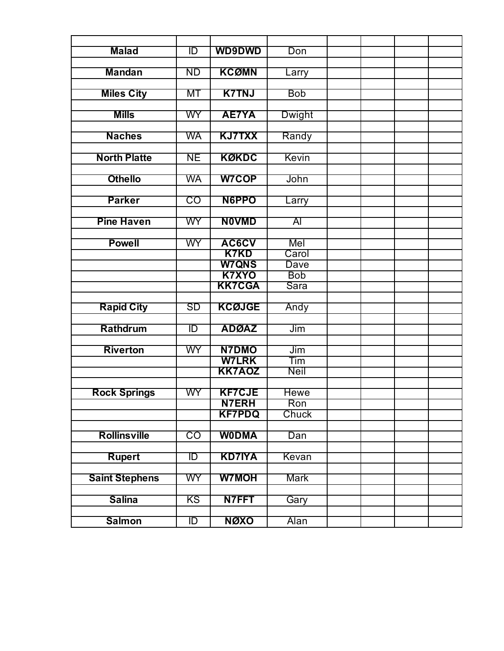| <b>Malad</b>          | ID        | <b>WD9DWD</b> | Don            |  |
|-----------------------|-----------|---------------|----------------|--|
|                       |           |               |                |  |
| <b>Mandan</b>         | <b>ND</b> | <b>KCØMN</b>  | Larry          |  |
|                       |           |               |                |  |
| <b>Miles City</b>     | MT        | <b>K7TNJ</b>  | <b>Bob</b>     |  |
| <b>Mills</b>          | WY        | <b>AE7YA</b>  |                |  |
|                       |           |               | Dwight         |  |
| <b>Naches</b>         | <b>WA</b> | <b>KJ7TXX</b> | Randy          |  |
|                       |           |               |                |  |
| <b>North Platte</b>   | <b>NE</b> | <b>KØKDC</b>  | Kevin          |  |
|                       |           |               |                |  |
| <b>Othello</b>        | WA        | <b>W7COP</b>  | John           |  |
|                       |           |               |                |  |
| <b>Parker</b>         | CO        | <b>N6PPO</b>  | Larry          |  |
|                       |           |               |                |  |
| <b>Pine Haven</b>     | WY        | <b>NOVMD</b>  | $\overline{A}$ |  |
|                       |           |               |                |  |
| <b>Powell</b>         | WY        | AC6CV         | Mel            |  |
|                       |           | <b>K7KD</b>   | Carol          |  |
|                       |           | <b>W7QNS</b>  | <b>Dave</b>    |  |
|                       |           | <b>K7XYO</b>  | <b>Bob</b>     |  |
|                       |           | <b>KK7CGA</b> | Sara           |  |
| <b>Rapid City</b>     | SD        | <b>KCØJGE</b> | Andy           |  |
|                       |           |               |                |  |
| Rathdrum              | ID        | <b>ADØAZ</b>  | Jim            |  |
|                       |           |               |                |  |
| <b>Riverton</b>       | WY        | <b>N7DMO</b>  | Jim            |  |
|                       |           | <b>W7LRK</b>  | Tim            |  |
|                       |           | <b>KK7AOZ</b> | <b>Neil</b>    |  |
|                       |           |               |                |  |
| <b>Rock Springs</b>   | WY        | <b>KF7CJE</b> | <b>Hewe</b>    |  |
|                       |           | <b>N7ERH</b>  | Ron            |  |
|                       |           | <b>KF7PDQ</b> | Chuck          |  |
|                       |           |               |                |  |
| <b>Rollinsville</b>   | CO        | <b>WODMA</b>  | Dan            |  |
|                       |           |               |                |  |
| <b>Rupert</b>         | ID        | <b>KD7IYA</b> | Kevan          |  |
|                       |           | <b>W7MOH</b>  |                |  |
| <b>Saint Stephens</b> | WY        |               | <b>Mark</b>    |  |
| <b>Salina</b>         | KS        | N7FFT         | Gary           |  |
|                       |           |               |                |  |
| <b>Salmon</b>         | ID        | NØXO          | Alan           |  |
|                       |           |               |                |  |